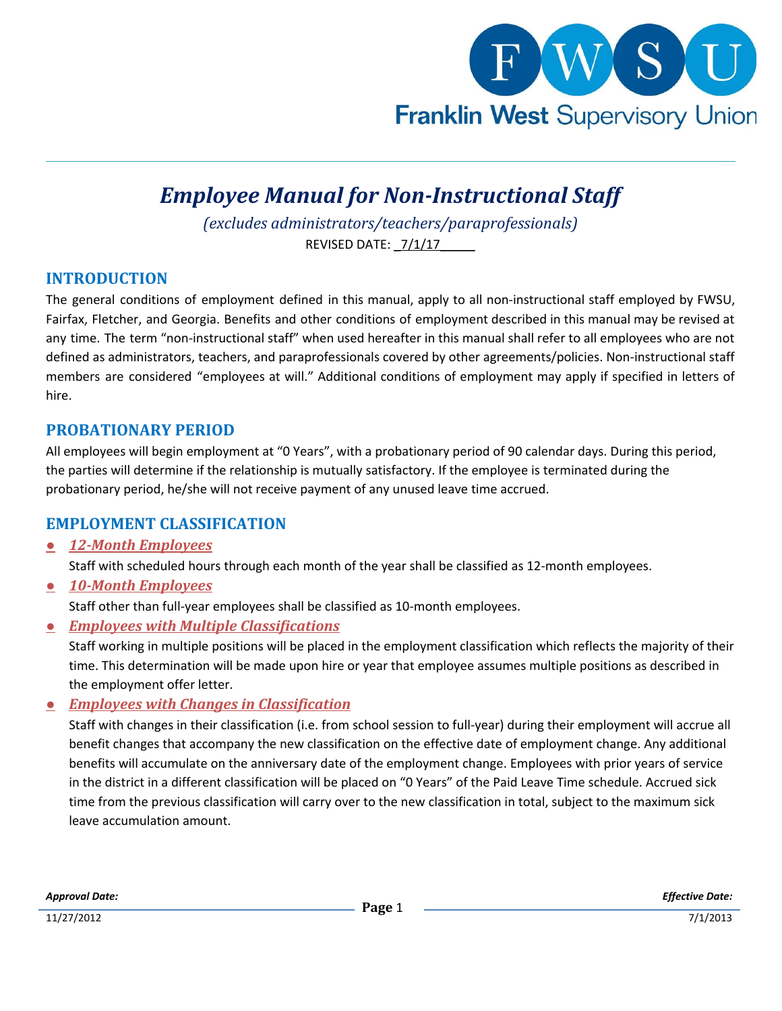

# *Employee Manual for Non-Instructional Staff*

*(excludes administrators/teachers/paraprofessionals)* REVISED DATE: 7/1/17

#### **INTRODUCTION**

The general conditions of employment defined in this manual, apply to all non-instructional staff employed by FWSU, Fairfax, Fletcher, and Georgia. Benefits and other conditions of employment described in this manual may be revised at any time. The term "non-instructional staff" when used hereafter in this manual shall refer to all employees who are not defined as administrators, teachers, and paraprofessionals covered by other agreements/policies. Non-instructional staff members are considered "employees at will." Additional conditions of employment may apply if specified in letters of hire.

#### **PROBATIONARY PERIOD**

All employees will begin employment at "0 Years", with a probationary period of 90 calendar days. During this period, the parties will determine if the relationship is mutually satisfactory. If the employee is terminated during the probationary period, he/she will not receive payment of any unused leave time accrued.

#### **EMPLOYMENT CLASSIFICATION**

*● 12-Month Employees*

Staff with scheduled hours through each month of the year shall be classified as 12-month employees.

*● 10-Month Employees*

Staff other than full-year employees shall be classified as 10-month employees.

*● Employees with Multiple Classifications*

Staff working in multiple positions will be placed in the employment classification which reflects the majority of their time. This determination will be made upon hire or year that employee assumes multiple positions as described in the employment offer letter.

*● Employees with Changes in Classification*

Staff with changes in their classification (i.e. from school session to full-year) during their employment will accrue all benefit changes that accompany the new classification on the effective date of employment change. Any additional benefits will accumulate on the anniversary date of the employment change. Employees with prior years of service in the district in a different classification will be placed on "0 Years" of the Paid Leave Time schedule. Accrued sick time from the previous classification will carry over to the new classification in total, subject to the maximum sick leave accumulation amount.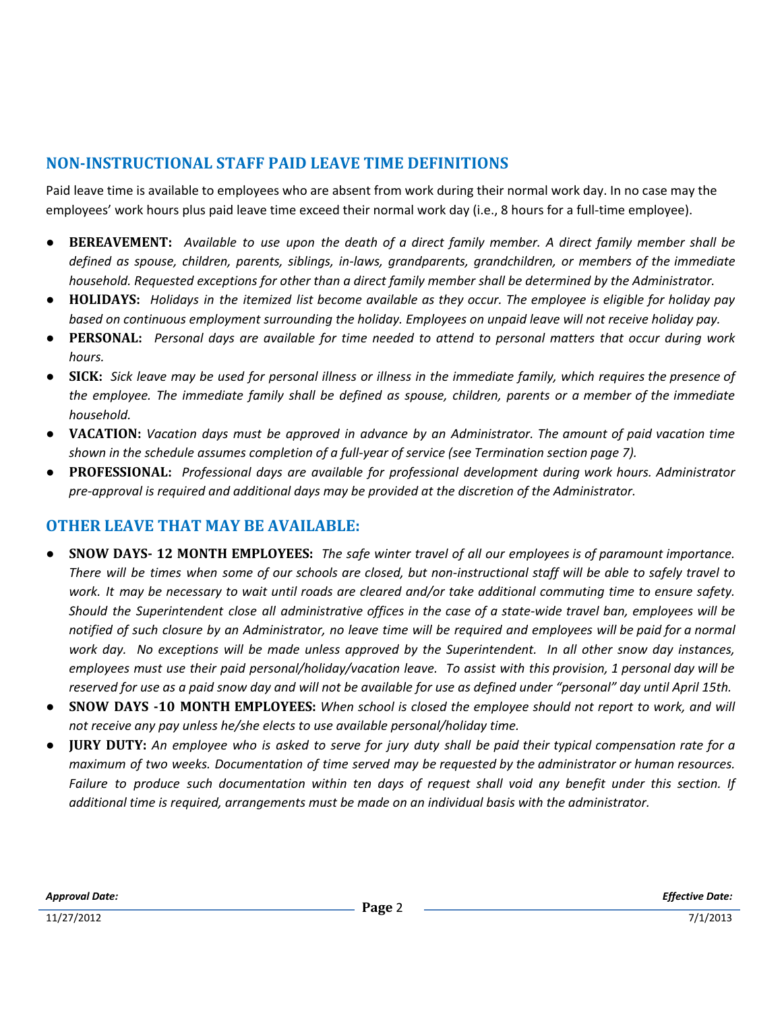# **NON-INSTRUCTIONAL STAFF PAID LEAVE TIME DEFINITIONS**

Paid leave time is available to employees who are absent from work during their normal work day. In no case may the employees' work hours plus paid leave time exceed their normal work day (i.e., 8 hours for a full-time employee).

- BEREAVEMENT: Available to use upon the death of a direct family member. A direct family member shall be *defined as spouse, children, parents, siblings, in-laws, grandparents, grandchildren, or members of the immediate household. Requested exceptions for other than a direct family member shall be determined by the Administrator.*
- HOLIDAYS: Holidays in the itemized list become available as they occur. The employee is eligible for holiday pay *based on continuous employment surrounding the holiday. Employees on unpaid leave will not receive holiday pay.*
- PERSONAL: Personal days are available for time needed to attend to personal matters that occur during work *hours.*
- SICK: Sick leave may be used for personal illness or illness in the immediate family, which requires the presence of the employee. The immediate family shall be defined as spouse, children, parents or a member of the immediate *household.*
- VACATION: Vacation days must be approved in advance by an Administrator. The amount of paid vacation time *shown in the schedule assumes completion of a full-year of service (see Termination section page 7).*
- *●* **PROFESSIONAL:** *Professional days are available for professional development during work hours. Administrator pre-approval is required and additional days may be provided at the discretion of the Administrator.*

## **OTHER LEAVE THAT MAY BE AVAILABLE:**

- SNOW DAYS- 12 MONTH EMPLOYEES: The safe winter travel of all our employees is of paramount importance. There will be times when some of our schools are closed, but non-instructional staff will be able to safely travel to work. It may be necessary to wait until roads are cleared and/or take additional commuting time to ensure safety. Should the Superintendent close all administrative offices in the case of a state-wide travel ban, employees will be notified of such closure by an Administrator, no leave time will be required and employees will be paid for a normal work day. No exceptions will be made unless approved by the Superintendent. In all other snow day instances, employees must use their paid personal/holiday/vacation leave. To assist with this provision, 1 personal day will be reserved for use as a paid snow day and will not be available for use as defined under "personal" day until April 15th.
- **SNOW DAYS -10 MONTH EMPLOYEES:** When school is closed the employee should not report to work, and will *not receive any pay unless he/she elects to use available personal/holiday time.*
- **JURY DUTY:** An employee who is asked to serve for jury duty shall be paid their typical compensation rate for a maximum of two weeks. Documentation of time served may be requested by the administrator or human resources. Failure to produce such documentation within ten days of request shall void any benefit under this section. If *additional time is required, arrangements must be made on an individual basis with the administrator.*

*Approval Date:*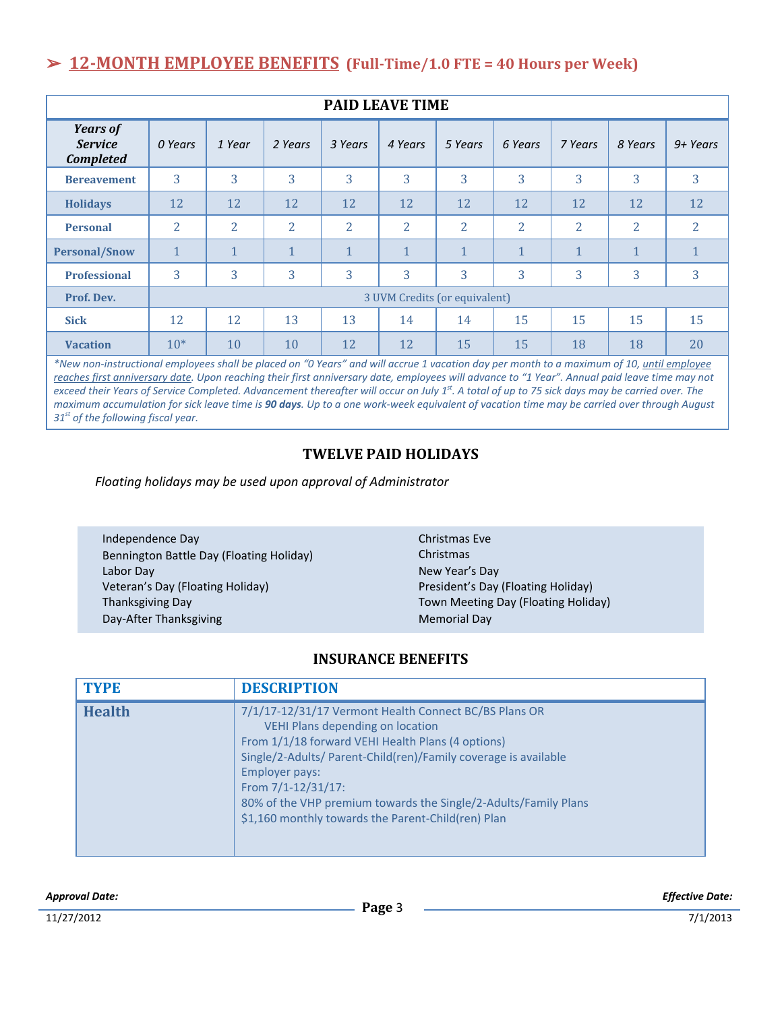# ➢ **12-MONTH EMPLOYEE BENEFITS (Full-Time/1.0 FTE = 40 Hours per Week)**

| <b>PAID LEAVE TIME</b>                                |                               |                            |                             |                |                                          |                |                              |                |                                       |                |
|-------------------------------------------------------|-------------------------------|----------------------------|-----------------------------|----------------|------------------------------------------|----------------|------------------------------|----------------|---------------------------------------|----------------|
| <b>Years of</b><br><b>Service</b><br><b>Completed</b> | 0 Years                       | 1 Year                     | 2 Years                     | 3 Years        | 4 Years                                  | 5 Years        | 6 Years                      | 7 Years        | 8 Years                               | $9+ Years$     |
| <b>Bereavement</b>                                    | 3                             | 3                          | 3                           | 3              | 3                                        | 3              | 3                            | 3              | 3                                     | 3              |
| <b>Holidays</b>                                       | 12                            | 12                         | 12                          | 12             | 12                                       | 12             | 12                           | 12             | 12                                    | 12             |
| <b>Personal</b>                                       | 2                             | $\overline{2}$             | $\overline{2}$              | $\overline{2}$ | $\overline{2}$                           | $\overline{2}$ | 2                            | $\overline{2}$ | $\overline{2}$                        | $\overline{2}$ |
| <b>Personal/Snow</b>                                  | $\mathbf{1}$                  | 1                          | $\mathbf{1}$                | $\mathbf{1}$   | $\mathbf{1}$                             | $\mathbf{1}$   | 1                            | $\mathbf{1}$   | 1                                     |                |
| <b>Professional</b>                                   | 3                             | 3                          | 3                           | 3              | 3                                        | 3              | 3                            | 3              | 3                                     | 3              |
| Prof. Dev.                                            | 3 UVM Credits (or equivalent) |                            |                             |                |                                          |                |                              |                |                                       |                |
| <b>Sick</b>                                           | 12                            | 12                         | 13                          | 13             | 14                                       | 14             | 15                           | 15             | 15                                    | 15             |
| <b>Vacation</b><br>and a state of                     | $10*$                         | 10<br>$\sim$ $\sim$ $\sim$ | 10<br>$\lambda \lambda = 1$ | 12             | 12<br>$\sim$ $\sim$ $\sim$ $\sim$ $\sim$ | 15             | 15<br><b>STATE OF STREET</b> | 18             | 18<br>$\sim$ $\sim$ $\sim$<br>$-1.11$ | 20             |

*\*New non-instructional employees shall be placed on "0 Years" and will accrue 1 vacation day per month to a maximum of 10, until employee reaches first anniversary date. Upon reaching their first anniversary date, employees will advance to "1 Year". Annual paid leave time may not exceed their Years of Service Completed. Advancement thereafter will occur on July 1st . A total of up to 75 sick days may be carried over. The maximum accumulation for sick leave time is 90 days. Up to a one work-week equivalent of vacation time may be carried over through August 31st of the following fiscal year.*

### **TWELVE PAID HOLIDAYS**

*Floating holidays may be used upon approval of Administrator*

Independence Day Bennington Battle Day (Floating Holiday) Labor Day Veteran's Day (Floating Holiday) Thanksgiving Day Day-After Thanksgiving

Christmas Eve Christmas New Year's Day President's Day (Floating Holiday) Town Meeting Day (Floating Holiday) Memorial Day

#### **INSURANCE BENEFITS**

| <b>TYPE</b>   | <b>DESCRIPTION</b>                                                                                                                                                                                                                                                                                                                                                                        |
|---------------|-------------------------------------------------------------------------------------------------------------------------------------------------------------------------------------------------------------------------------------------------------------------------------------------------------------------------------------------------------------------------------------------|
| <b>Health</b> | 7/1/17-12/31/17 Vermont Health Connect BC/BS Plans OR<br><b>VEHI Plans depending on location</b><br>From 1/1/18 forward VEHI Health Plans (4 options)<br>Single/2-Adults/ Parent-Child(ren)/Family coverage is available<br>Employer pays:<br>From 7/1-12/31/17:<br>80% of the VHP premium towards the Single/2-Adults/Family Plans<br>\$1,160 monthly towards the Parent-Child(ren) Plan |

*Approval Date:*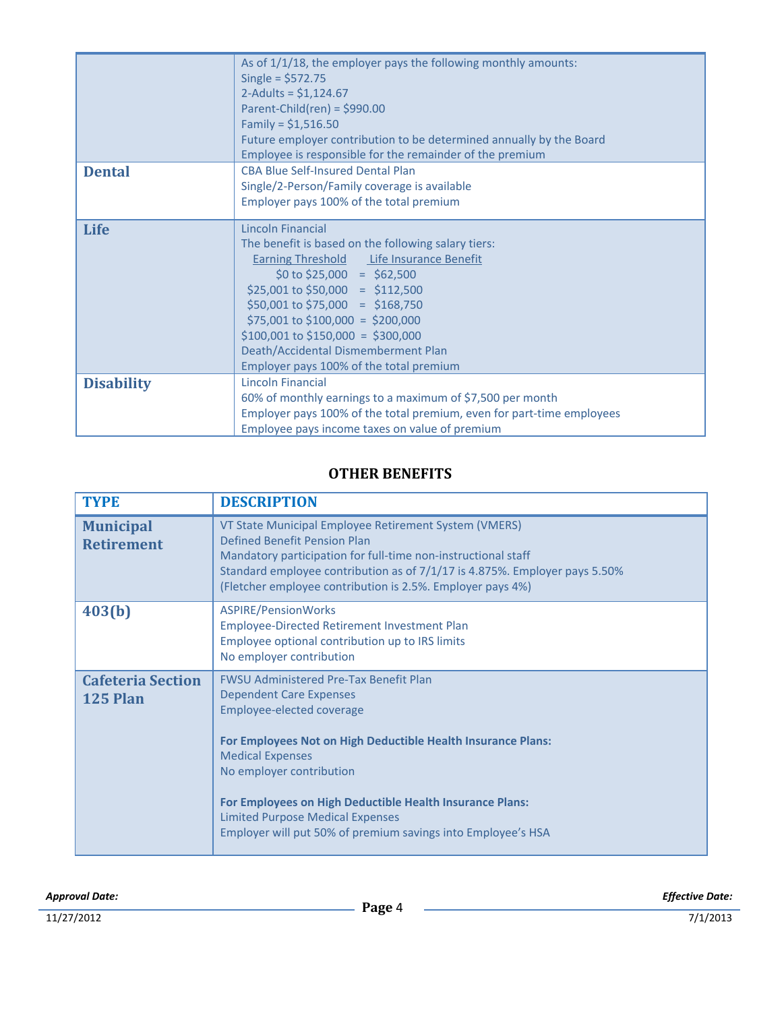|                   | As of 1/1/18, the employer pays the following monthly amounts:<br>Single = $$572.75$<br>2-Adults = $$1,124.67$<br>Parent-Child(ren) = $$990.00$<br>Family = $$1,516.50$                                                                                                                                                                                                                                    |
|-------------------|------------------------------------------------------------------------------------------------------------------------------------------------------------------------------------------------------------------------------------------------------------------------------------------------------------------------------------------------------------------------------------------------------------|
|                   | Future employer contribution to be determined annually by the Board<br>Employee is responsible for the remainder of the premium                                                                                                                                                                                                                                                                            |
| <b>Dental</b>     | <b>CBA Blue Self-Insured Dental Plan</b><br>Single/2-Person/Family coverage is available<br>Employer pays 100% of the total premium                                                                                                                                                                                                                                                                        |
| <b>Life</b>       | Lincoln Financial<br>The benefit is based on the following salary tiers:<br><b>Earning Threshold</b> Life Insurance Benefit<br>$$0 \text{ to } $25,000 = $62,500$<br>$$25,001$ to $$50,000 = $112,500$<br>$$50,001$ to $$75,000 = $168,750$<br>$$75,001$ to $$100,000 = $200,000$<br>$$100,001$ to $$150,000 = $300,000$<br>Death/Accidental Dismemberment Plan<br>Employer pays 100% of the total premium |
| <b>Disability</b> | Lincoln Financial<br>60% of monthly earnings to a maximum of \$7,500 per month<br>Employer pays 100% of the total premium, even for part-time employees<br>Employee pays income taxes on value of premium                                                                                                                                                                                                  |

# **OTHER BENEFITS**

| <b>TYPE</b>                                 | <b>DESCRIPTION</b>                                                                                                                                                                                                                                                                                                                                                                                  |
|---------------------------------------------|-----------------------------------------------------------------------------------------------------------------------------------------------------------------------------------------------------------------------------------------------------------------------------------------------------------------------------------------------------------------------------------------------------|
| <b>Municipal</b><br><b>Retirement</b>       | VT State Municipal Employee Retirement System (VMERS)<br>Defined Benefit Pension Plan<br>Mandatory participation for full-time non-instructional staff<br>Standard employee contribution as of 7/1/17 is 4.875%. Employer pays 5.50%<br>(Fletcher employee contribution is 2.5%. Employer pays 4%)                                                                                                  |
| 403(b)                                      | ASPIRE/PensionWorks<br>Employee-Directed Retirement Investment Plan<br>Employee optional contribution up to IRS limits<br>No employer contribution                                                                                                                                                                                                                                                  |
| <b>Cafeteria Section</b><br><b>125 Plan</b> | <b>FWSU Administered Pre-Tax Benefit Plan</b><br>Dependent Care Expenses<br>Employee-elected coverage<br>For Employees Not on High Deductible Health Insurance Plans:<br><b>Medical Expenses</b><br>No employer contribution<br>For Employees on High Deductible Health Insurance Plans:<br><b>Limited Purpose Medical Expenses</b><br>Employer will put 50% of premium savings into Employee's HSA |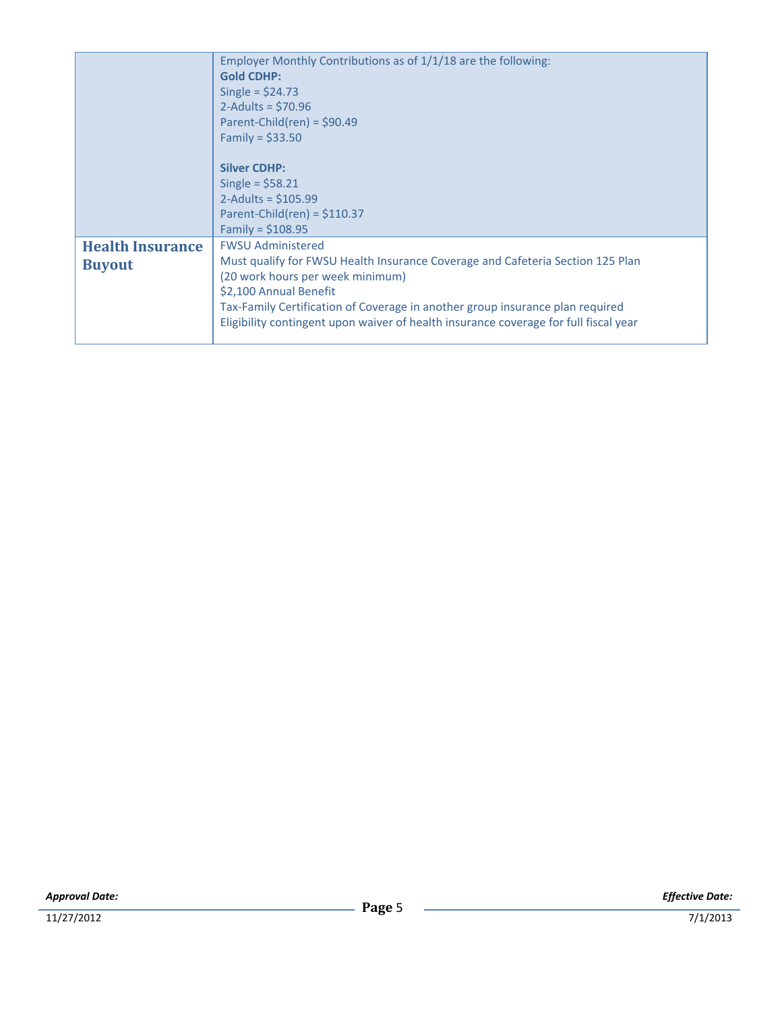|                                          | Employer Monthly Contributions as of 1/1/18 are the following:<br><b>Gold CDHP:</b><br>Single = $$24.73$<br>2-Adults = $$70.96$<br>Parent-Child(ren) = $$90.49$<br>Family = $$33.50$<br><b>Silver CDHP:</b><br>Single = $$58.21$<br>2-Adults = $$105.99$<br>Parent-Child(ren) = $$110.37$<br>Family = $$108.95$                                   |
|------------------------------------------|---------------------------------------------------------------------------------------------------------------------------------------------------------------------------------------------------------------------------------------------------------------------------------------------------------------------------------------------------|
| <b>Health Insurance</b><br><b>Buyout</b> | <b>FWSU Administered</b><br>Must qualify for FWSU Health Insurance Coverage and Cafeteria Section 125 Plan<br>(20 work hours per week minimum)<br>\$2,100 Annual Benefit<br>Tax-Family Certification of Coverage in another group insurance plan required<br>Eligibility contingent upon waiver of health insurance coverage for full fiscal year |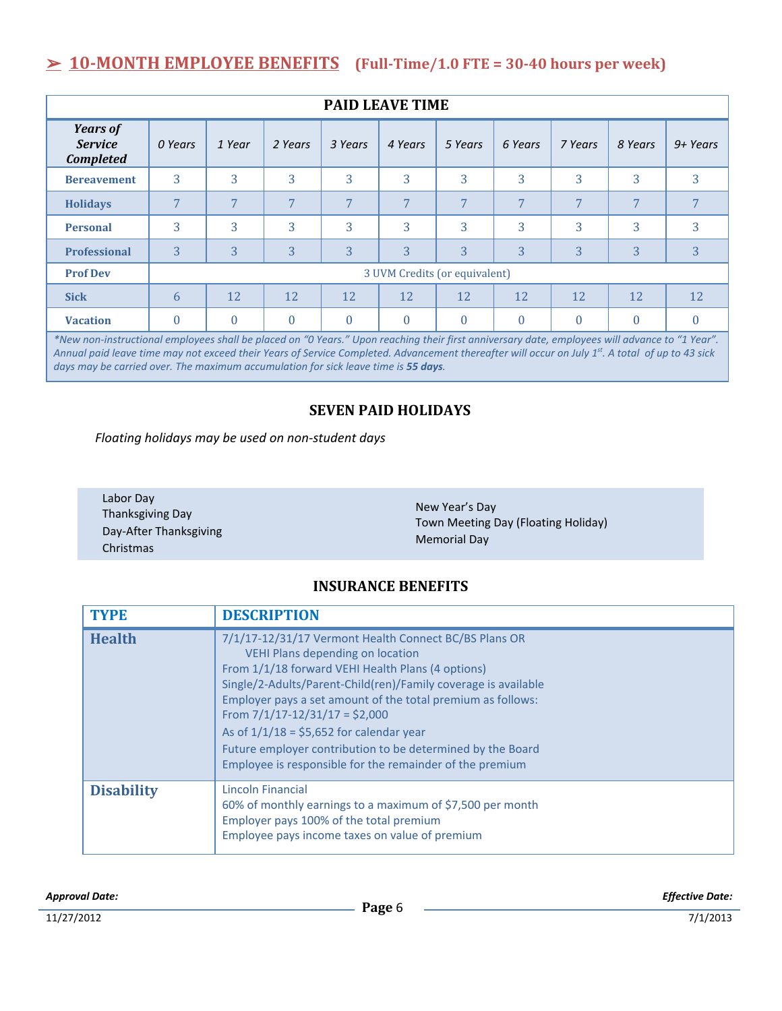# ➢ **10-MONTH EMPLOYEE BENEFITS (Full-Time/1.0 FTE = 30-40 hours per week)**

| <b>PAID LEAVE TIME</b>                                                                                                                         |                               |          |          |          |          |          |          |          |          |            |
|------------------------------------------------------------------------------------------------------------------------------------------------|-------------------------------|----------|----------|----------|----------|----------|----------|----------|----------|------------|
| <b>Years of</b><br><b>Service</b><br><b>Completed</b>                                                                                          | 0 Years                       | 1 Year   | 2 Years  | 3 Years  | 4 Years  | 5 Years  | 6 Years  | 7 Years  | 8 Years  | $9+ Years$ |
| <b>Bereavement</b>                                                                                                                             | 3                             | 3        | 3        | 3        | 3        | 3        | 3        | 3        | 3        | 3          |
| <b>Holidays</b>                                                                                                                                | 7                             | 7        | 7        | 7        | 7        | 7        | 7        | 7        | 7        | 7          |
| <b>Personal</b>                                                                                                                                | 3                             | 3        | 3        | 3        | 3        | 3        | 3        | 3        | 3        | 3          |
| <b>Professional</b>                                                                                                                            | 3                             | 3        | 3        | 3        | 3        | 3        | 3        | 3        | 3        | 3          |
| <b>Prof Dev</b>                                                                                                                                | 3 UVM Credits (or equivalent) |          |          |          |          |          |          |          |          |            |
| <b>Sick</b>                                                                                                                                    | 6                             | 12       | 12       | 12       | 12       | 12       | 12       | 12       | 12       | 12         |
| <b>Vacation</b>                                                                                                                                | $\theta$                      | $\theta$ | $\theta$ | $\theta$ | $\theta$ | $\theta$ | $\theta$ | $\theta$ | $\theta$ | $\theta$   |
| *New non-instructional employees shall be placed on "0 Years." Upon reaching their first anniversary date, employees will advance to "1 Year". |                               |          |          |          |          |          |          |          |          |            |

*Annual paid leave time may not exceed their Years of Service Completed. Advancement thereafter will occur on July 1st . A total of up to 43 sick days may be carried over. The maximum accumulation for sick leave time is 55 days.*

#### **SEVEN PAID HOLIDAYS**

*Floating holidays may be used on non-student days*

| Labor Day<br>Thanksgiving Day<br>Day-After Thanksgiving<br>Christmas | New Year's Day<br>Town Meeting Day (Floating Holiday)<br><b>Memorial Day</b> |
|----------------------------------------------------------------------|------------------------------------------------------------------------------|
|----------------------------------------------------------------------|------------------------------------------------------------------------------|

## **INSURANCE BENEFITS**

| <b>TYPE</b>       | <b>DESCRIPTION</b>                                                                                                                                                                                                                                                                                                                                                                                                                                                                                 |
|-------------------|----------------------------------------------------------------------------------------------------------------------------------------------------------------------------------------------------------------------------------------------------------------------------------------------------------------------------------------------------------------------------------------------------------------------------------------------------------------------------------------------------|
| <b>Health</b>     | 7/1/17-12/31/17 Vermont Health Connect BC/BS Plans OR<br><b>VEHI Plans depending on location</b><br>From 1/1/18 forward VEHI Health Plans (4 options)<br>Single/2-Adults/Parent-Child(ren)/Family coverage is available<br>Employer pays a set amount of the total premium as follows:<br>From $7/1/17 - 12/31/17 = $2,000$<br>As of $1/1/18 = $5,652$ for calendar year<br>Future employer contribution to be determined by the Board<br>Employee is responsible for the remainder of the premium |
| <b>Disability</b> | Lincoln Financial<br>60% of monthly earnings to a maximum of \$7,500 per month<br>Employer pays 100% of the total premium<br>Employee pays income taxes on value of premium                                                                                                                                                                                                                                                                                                                        |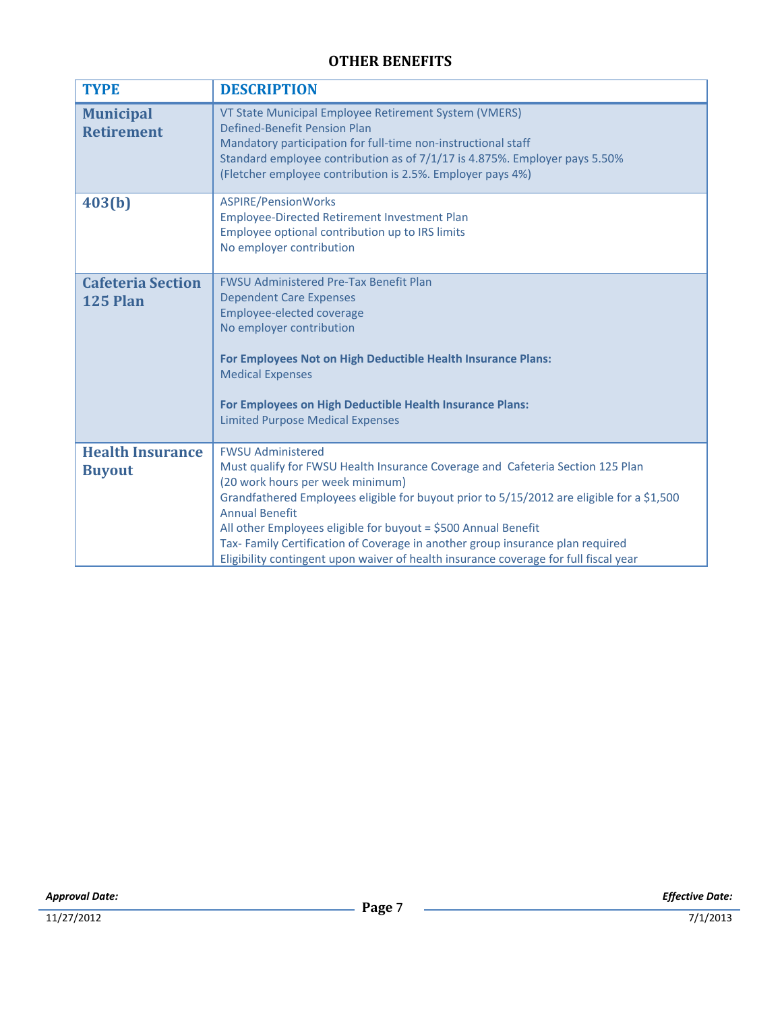# **OTHER BENEFITS**

| <b>TYPE</b>                              | <b>DESCRIPTION</b>                                                                                                                                                                                                                                                                                                                                                                                                                                                                                               |
|------------------------------------------|------------------------------------------------------------------------------------------------------------------------------------------------------------------------------------------------------------------------------------------------------------------------------------------------------------------------------------------------------------------------------------------------------------------------------------------------------------------------------------------------------------------|
| <b>Municipal</b><br><b>Retirement</b>    | VT State Municipal Employee Retirement System (VMERS)<br>Defined-Benefit Pension Plan<br>Mandatory participation for full-time non-instructional staff<br>Standard employee contribution as of 7/1/17 is 4.875%. Employer pays 5.50%<br>(Fletcher employee contribution is 2.5%. Employer pays 4%)                                                                                                                                                                                                               |
| 403(b)                                   | <b>ASPIRE/PensionWorks</b><br>Employee-Directed Retirement Investment Plan<br>Employee optional contribution up to IRS limits<br>No employer contribution                                                                                                                                                                                                                                                                                                                                                        |
| <b>Cafeteria Section</b><br>125 Plan     | <b>FWSU Administered Pre-Tax Benefit Plan</b><br><b>Dependent Care Expenses</b><br><b>Employee-elected coverage</b><br>No employer contribution<br>For Employees Not on High Deductible Health Insurance Plans:<br><b>Medical Expenses</b><br>For Employees on High Deductible Health Insurance Plans:<br><b>Limited Purpose Medical Expenses</b>                                                                                                                                                                |
| <b>Health Insurance</b><br><b>Buyout</b> | <b>FWSU Administered</b><br>Must qualify for FWSU Health Insurance Coverage and Cafeteria Section 125 Plan<br>(20 work hours per week minimum)<br>Grandfathered Employees eligible for buyout prior to 5/15/2012 are eligible for a \$1,500<br><b>Annual Benefit</b><br>All other Employees eligible for buyout = \$500 Annual Benefit<br>Tax- Family Certification of Coverage in another group insurance plan required<br>Eligibility contingent upon waiver of health insurance coverage for full fiscal year |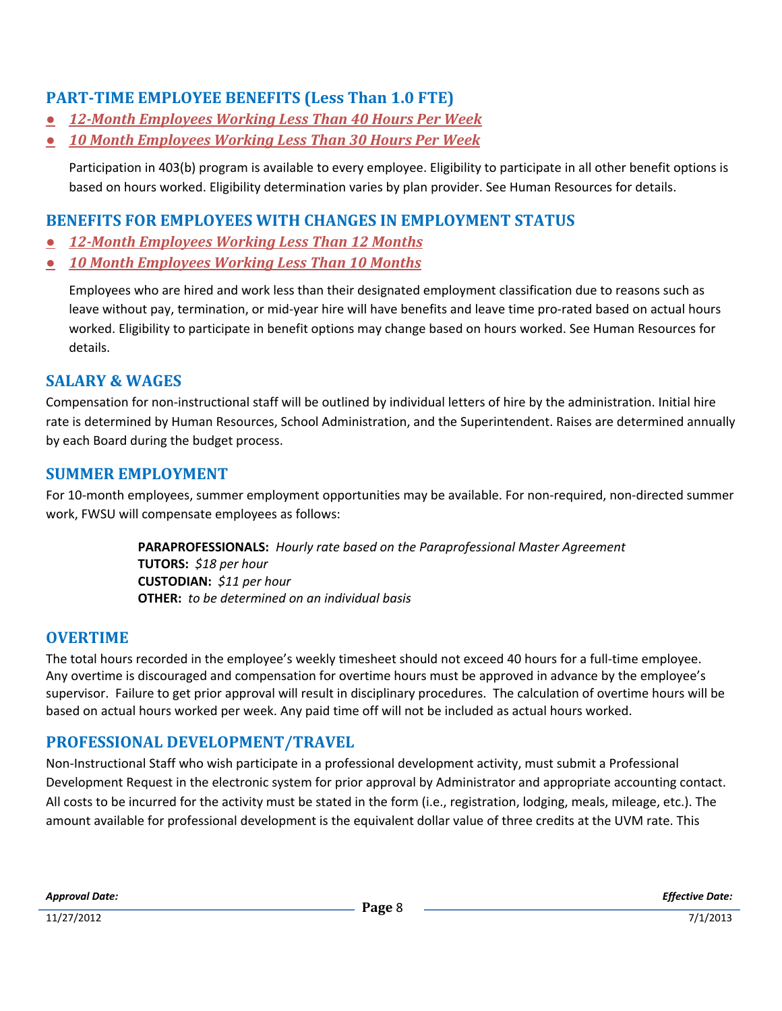# **PART-TIME EMPLOYEE BENEFITS (Less Than 1.0 FTE)**

- *● 12-Month Employees Working Less Than 40 Hours Per Week*
- *● 10 Month Employees Working Less Than 30 Hours Per Week*

Participation in 403(b) program is available to every employee. Eligibility to participate in all other benefit options is based on hours worked. Eligibility determination varies by plan provider. See Human Resources for details.

## **BENEFITS FOR EMPLOYEES WITH CHANGES IN EMPLOYMENT STATUS**

- *● 12-Month Employees Working Less Than 12 Months*
- *● 10 Month Employees Working Less Than 10 Months*

Employees who are hired and work less than their designated employment classification due to reasons such as leave without pay, termination, or mid-year hire will have benefits and leave time pro-rated based on actual hours worked. Eligibility to participate in benefit options may change based on hours worked. See Human Resources for details.

## **SALARY & WAGES**

Compensation for non-instructional staff will be outlined by individual letters of hire by the administration. Initial hire rate is determined by Human Resources, School Administration, and the Superintendent. Raises are determined annually by each Board during the budget process.

#### **SUMMER EMPLOYMENT**

For 10-month employees, summer employment opportunities may be available. For non-required, non-directed summer work, FWSU will compensate employees as follows:

> **PARAPROFESSIONALS:** *Hourly rate based on the Paraprofessional Master Agreement* **TUTORS:** *\$18 per hour* **CUSTODIAN:** *\$11 per hour* **OTHER:** *to be determined on an individual basis*

## **OVERTIME**

The total hours recorded in the employee's weekly timesheet should not exceed 40 hours for a full-time employee. Any overtime is discouraged and compensation for overtime hours must be approved in advance by the employee's supervisor. Failure to get prior approval will result in disciplinary procedures. The calculation of overtime hours will be based on actual hours worked per week. Any paid time off will not be included as actual hours worked.

## **PROFESSIONAL DEVELOPMENT/TRAVEL**

Non-Instructional Staff who wish participate in a professional development activity, must submit a Professional Development Request in the electronic system for prior approval by Administrator and appropriate accounting contact. All costs to be incurred for the activity must be stated in the form (i.e., registration, lodging, meals, mileage, etc.). The amount available for professional development is the equivalent dollar value of three credits at the UVM rate. This

*Approval Date:*